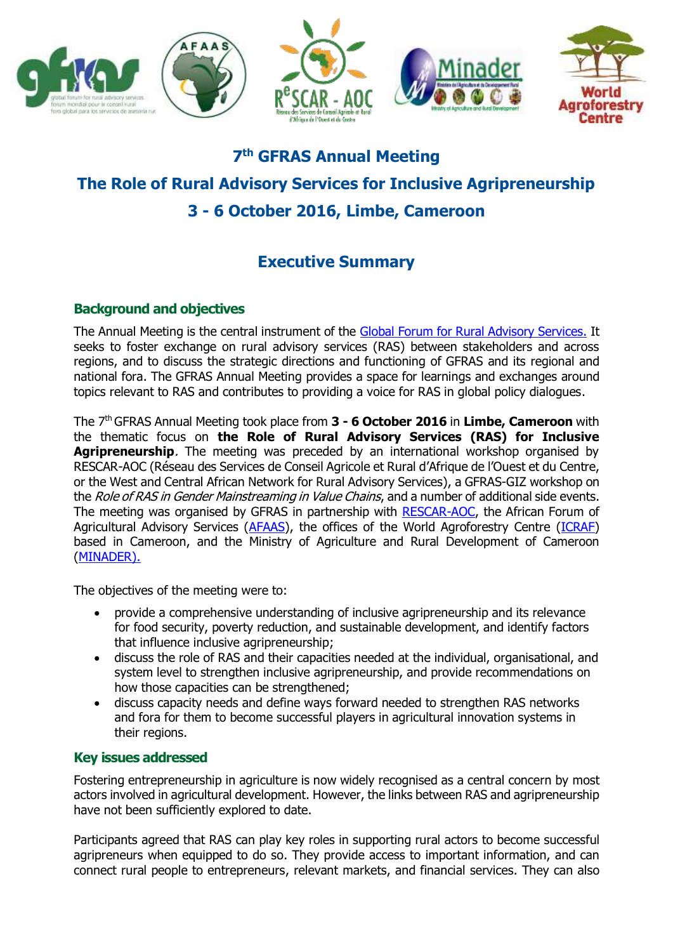

# **7 th GFRAS Annual Meeting The Role of Rural Advisory Services for Inclusive Agripreneurship 3 - 6 October 2016, Limbe, Cameroon**

# **Executive Summary**

## **Background and objectives**

The Annual Meeting is the central instrument of the [Global Forum for Rural Advisory Services.](http://www.g-fras.org/en/) It seeks to foster exchange on rural advisory services (RAS) between stakeholders and across regions, and to discuss the strategic directions and functioning of GFRAS and its regional and national fora. The GFRAS Annual Meeting provides a space for learnings and exchanges around topics relevant to RAS and contributes to providing a voice for RAS in global policy dialogues.

The 7th GFRAS Annual Meeting took place from **3 - 6 October 2016** in **Limbe, Cameroon** with the thematic focus on **the Role of Rural Advisory Services (RAS) for Inclusive Agripreneurship**. The meeting was preceded by an international workshop organised by RESCAR-AOC (Réseau des Services de Conseil Agricole et Rural d'Afrique de l'Ouest et du Centre, or the West and Central African Network for Rural Advisory Services), a GFRAS-GIZ workshop on the Role of RAS in Gender Mainstreaming in Value Chains, and a number of additional side events. The meeting was organised by GFRAS in partnership with [RESCAR-AOC,](http://rescar-aoc.org/?lang=fr) the African Forum of Agricultural Advisory Services [\(AFAAS\)](http://www.afaas-africa.org/), the offices of the World Agroforestry Centre [\(ICRAF\)](http://www.worldagroforestry.org/country/cameroon) based in Cameroon, and the Ministry of Agriculture and Rural Development of Cameroon [\(MINADER\).](http://www.minader.cm/)

The objectives of the meeting were to:

- provide a comprehensive understanding of inclusive agripreneurship and its relevance for food security, poverty reduction, and sustainable development, and identify factors that influence inclusive agripreneurship;
- discuss the role of RAS and their capacities needed at the individual, organisational, and system level to strengthen inclusive agripreneurship, and provide recommendations on how those capacities can be strengthened;
- discuss capacity needs and define ways forward needed to strengthen RAS networks and fora for them to become successful players in agricultural innovation systems in their regions.

### **Key issues addressed**

Fostering entrepreneurship in agriculture is now widely recognised as a central concern by most actors involved in agricultural development. However, the links between RAS and agripreneurship have not been sufficiently explored to date.

Participants agreed that RAS can play key roles in supporting rural actors to become successful agripreneurs when equipped to do so. They provide access to important information, and can connect rural people to entrepreneurs, relevant markets, and financial services. They can also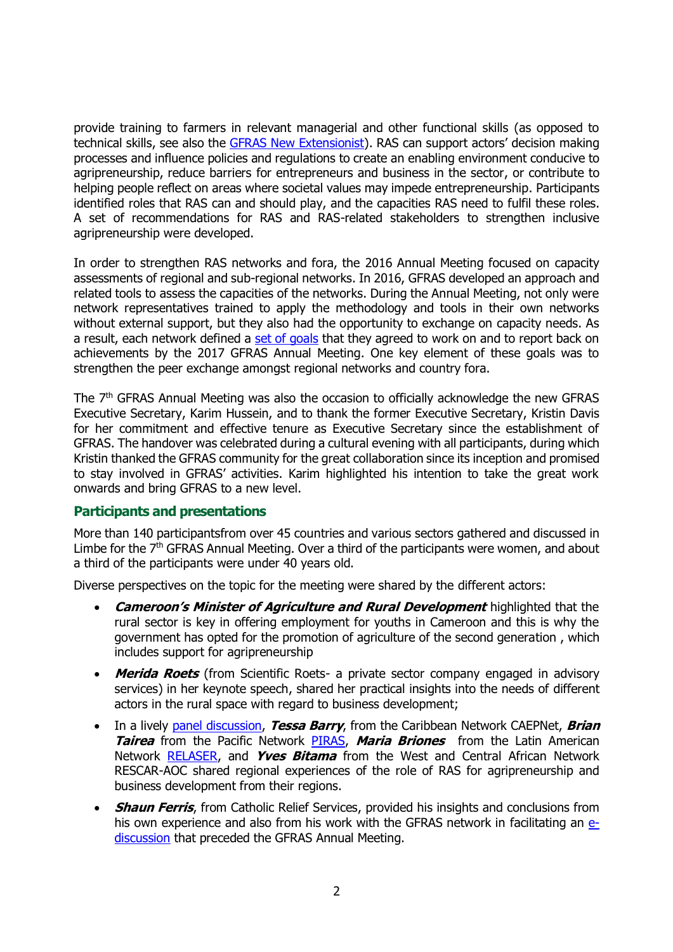provide training to farmers in relevant managerial and other functional skills (as opposed to technical skills, see also the [GFRAS New Extensionist\)](http://www.g-fras.org/en/activities/the-new-extensionist.html). RAS can support actors' decision making processes and influence policies and regulations to create an enabling environment conducive to agripreneurship, reduce barriers for entrepreneurs and business in the sector, or contribute to helping people reflect on areas where societal values may impede entrepreneurship. Participants identified roles that RAS can and should play, and the capacities RAS need to fulfil these roles. A set of recommendations for RAS and RAS-related stakeholders to strengthen inclusive agripreneurship were developed.

In order to strengthen RAS networks and fora, the 2016 Annual Meeting focused on capacity assessments of regional and sub-regional networks. In 2016, GFRAS developed an approach and related tools to assess the capacities of the networks. During the Annual Meeting, not only were network representatives trained to apply the methodology and tools in their own networks without external support, but they also had the opportunity to exchange on capacity needs. As a result, each network defined a [set of goals](http://www.g-fras.org/en/capacity-assessment/results.html) that they agreed to work on and to report back on achievements by the 2017 GFRAS Annual Meeting. One key element of these goals was to strengthen the peer exchange amongst regional networks and country fora.

The 7th GFRAS Annual Meeting was also the occasion to officially acknowledge the new GFRAS Executive Secretary, Karim Hussein, and to thank the former Executive Secretary, Kristin Davis for her commitment and effective tenure as Executive Secretary since the establishment of GFRAS. The handover was celebrated during a cultural evening with all participants, during which Kristin thanked the GFRAS community for the great collaboration since its inception and promised to stay involved in GFRAS' activities. Karim highlighted his intention to take the great work onwards and bring GFRAS to a new level.

#### **Participants and presentations**

More than 140 participantsfrom over 45 countries and various sectors gathered and discussed in Limbe for the 7<sup>th</sup> GFRAS Annual Meeting. Over a third of the participants were women, and about a third of the participants were under 40 years old.

Diverse perspectives on the topic for the meeting were shared by the different actors:

- **Cameroon's Minister of Agriculture and Rural Development** highlighted that the rural sector is key in offering employment for youths in Cameroon and this is why the government has opted for the promotion of agriculture of the second generation , which includes support for agripreneurship
- **Merida Roets** (from Scientific Roets- a private sector company engaged in advisory services) in her keynote speech, shared her practical insights into the needs of different actors in the rural space with regard to business development;
- In a lively [panel discussion,](http://www.g-fras.org/en/gallery.html#video) **Tessa Barry**, from the Caribbean Network CAEPNet, **Brian Tairea** from the Pacific Network [PIRAS,](https://www.facebook.com/groups/1719401644988264/?fref=ts) **Maria Briones** from the Latin American Network [RELASER,](http://www.relaser.org/) and **Yves Bitama** from the West and Central African Network RESCAR-AOC shared regional experiences of the role of RAS for agripreneurship and business development from their regions.
- **Shaun Ferris**, from Catholic Relief Services, provided his insights and conclusions from his own experience and also from his work with the GFRAS network in facilitating an [e](http://www.g-fras.org/en/agripreneurship/e-discussion.html)[discussion](http://www.g-fras.org/en/agripreneurship/e-discussion.html) that preceded the GFRAS Annual Meeting.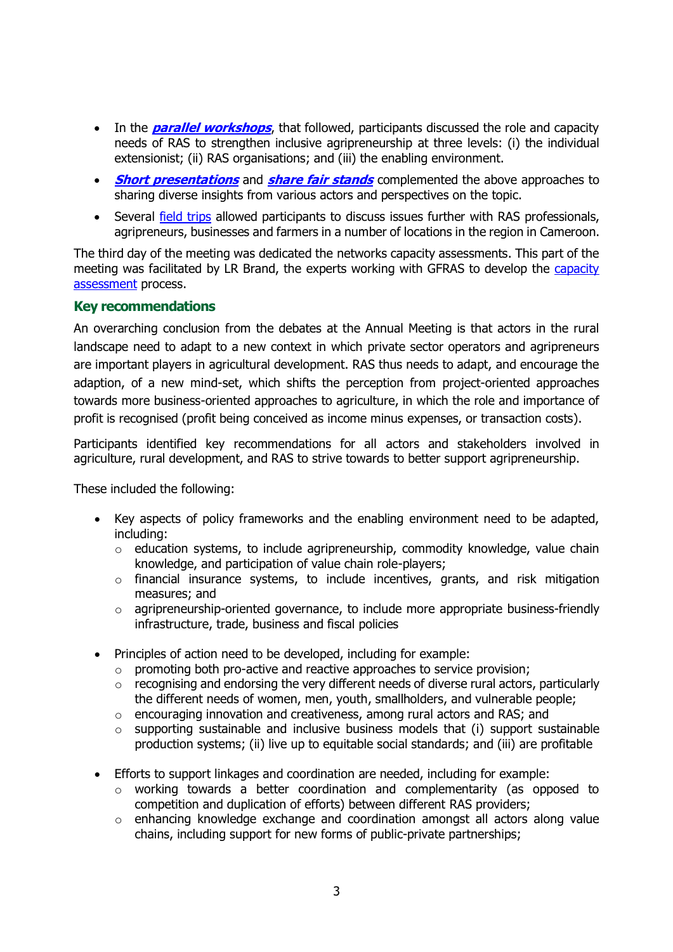- In the **[parallel workshops](http://www.g-fras.org/en/agripreneurship/parallel-sessions.html)**, that followed, participants discussed the role and capacity needs of RAS to strengthen inclusive agripreneurship at three levels: (i) the individual extensionist; (ii) RAS organisations; and (iii) the enabling environment.
- **[Short presentations](http://www.g-fras.org/en/share-fair-side-events/short-presentations.html)** and **[share fair stands](http://www.g-fras.org/en/share-fair-side-events/2016-04-01-07-04-32.html)** complemented the above approaches to sharing diverse insights from various actors and perspectives on the topic.
- Several [field trips](http://www.g-fras.org/en/agripreneurship/field-trips.html) allowed participants to discuss issues further with RAS professionals, agripreneurs, businesses and farmers in a number of locations in the region in Cameroon.

The third day of the meeting was dedicated the networks capacity assessments. This part of the meeting was facilitated by LR Brand, the experts working with GFRAS to develop the [capacity](http://www.g-fras.org/en/capacity-assessment.html)  [assessment](http://www.g-fras.org/en/capacity-assessment.html) process.

#### **Key recommendations**

An overarching conclusion from the debates at the Annual Meeting is that actors in the rural landscape need to adapt to a new context in which private sector operators and agripreneurs are important players in agricultural development. RAS thus needs to adapt, and encourage the adaption, of a new mind-set, which shifts the perception from project-oriented approaches towards more business-oriented approaches to agriculture, in which the role and importance of profit is recognised (profit being conceived as income minus expenses, or transaction costs).

Participants identified key recommendations for all actors and stakeholders involved in agriculture, rural development, and RAS to strive towards to better support agripreneurship.

These included the following:

- Key aspects of policy frameworks and the enabling environment need to be adapted, including:
	- o education systems, to include agripreneurship, commodity knowledge, value chain knowledge, and participation of value chain role-players;
	- o financial insurance systems, to include incentives, grants, and risk mitigation measures; and
	- $\circ$  agripreneurship-oriented governance, to include more appropriate business-friendly infrastructure, trade, business and fiscal policies
- Principles of action need to be developed, including for example:
	- $\circ$  promoting both pro-active and reactive approaches to service provision;
	- o recognising and endorsing the very different needs of diverse rural actors, particularly the different needs of women, men, youth, smallholders, and vulnerable people;
	- o encouraging innovation and creativeness, among rural actors and RAS; and
	- o supporting sustainable and inclusive business models that (i) support sustainable production systems; (ii) live up to equitable social standards; and (iii) are profitable
- Efforts to support linkages and coordination are needed, including for example:
	- o working towards a better coordination and complementarity (as opposed to competition and duplication of efforts) between different RAS providers;
	- o enhancing knowledge exchange and coordination amongst all actors along value chains, including support for new forms of public-private partnerships;